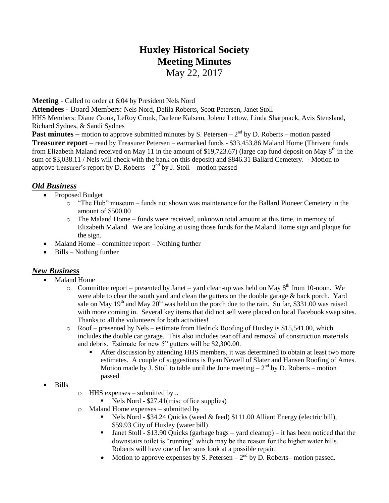# **Huxley Historical Society Meeting Minutes**

May 22, 2017

**Meeting** - Called to order at 6:04 by President Nels Nord

**Attendees** - Board Members: Nels Nord, Delila Roberts, Scott Petersen, Janet Stoll

HHS Members: Diane Cronk, LeRoy Cronk, Darlene Kalsem, Jolene Lettow, Linda Sharpnack, Avis Stensland, Richard Sydnes, & Sandi Sydnes

**Past minutes** – motion to approve submitted minutes by S. Petersen  $-2<sup>nd</sup>$  by D. Roberts – motion passed **Treasurer report** – read by Treasurer Petersen – earmarked funds - \$33,453.86 Maland Home (Thrivent funds from Elizabeth Maland received on May 11 in the amount of \$19,723.67) (large cap fund deposit on May  $8<sup>th</sup>$  in the sum of \$3,038.11 / Nels will check with the bank on this deposit) and \$846.31 Ballard Cemetery. - Motion to approve treasurer's report by D. Roberts  $-2<sup>nd</sup>$  by J. Stoll – motion passed

## *Old Business*

- Proposed Budget
	- o "The Hub" museum funds not shown was maintenance for the Ballard Pioneer Cemetery in the amount of \$500.00
	- o The Maland Home funds were received, unknown total amount at this time, in memory of Elizabeth Maland. We are looking at using those funds for the Maland Home sign and plaque for the sign.
- Maland Home committee report Nothing further
- $\bullet$  Bills Nothing further

## *New Business*

- Maland Home
	- $\circ$  Committee report presented by Janet yard clean-up was held on May  $8<sup>th</sup>$  from 10-noon. We were able to clear the south yard and clean the gutters on the double garage & back porch. Yard sale on May  $19<sup>th</sup>$  and May  $20<sup>th</sup>$  was held on the porch due to the rain. So far, \$331.00 was raised with more coming in. Several key items that did not sell were placed on local Facebook swap sites. Thanks to all the volunteers for both activities!
	- Roof presented by Nels estimate from Hedrick Roofing of Huxley is \$15,541.00, which includes the double car garage. This also includes tear off and removal of construction materials and debris. Estimate for new 5" gutters will be \$2,300.00.
		- After discussion by attending HHS members, it was determined to obtain at least two more estimates. A couple of suggestions is Ryan Newell of Slater and Hansen Roofing of Ames. Motion made by  $\overline{J}$ . Stoll to table until the June meeting  $-2^{nd}$  by D. Roberts – motion passed
- Bills
- o HHS expenses submitted by ..
	- Nels Nord  $$27.41$ (misc office supplies)
- o Maland Home expenses submitted by
	- Nels Nord \$34.24 Quicks (weed  $&$  feed) \$111.00 Alliant Energy (electric bill), \$59.93 City of Huxley (water bill)
	- I Janet Stoll \$13.90 Quicks (garbage bags yard cleanup) it has been noticed that the downstairs toilet is "running" which may be the reason for the higher water bills. Roberts will have one of her sons look at a possible repair.
	- Motion to approve expenses by S. Petersen  $-2<sup>nd</sup>$  by D. Roberts– motion passed.